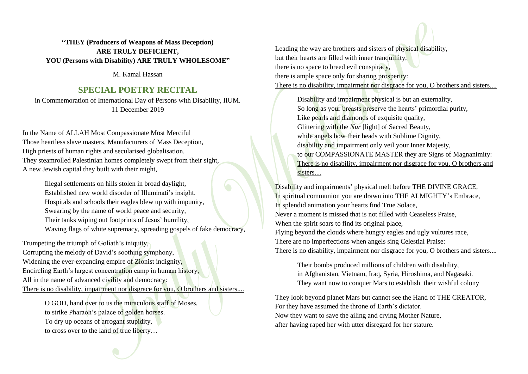## **"THEY (Producers of Weapons of Mass Deception) ARE TRULY DEFICIENT, YOU (Persons with Disability) ARE TRULY WHOLESOME"**

M. Kamal Hassan

## **SPECIAL POETRY RECITAL**

in Commemoration of International Day of Persons with Disability, IIUM. 11 December 2019

In the Name of ALLAH Most Compassionate Most Merciful Those heartless slave masters, Manufacturers of Mass Deception, High priests of human rights and secularised globalisation. They steamrolled Palestinian homes completely swept from their sight, A new Jewish capital they built with their might,

> Illegal settlements on hills stolen in broad daylight, Established new world disorder of Illuminati's insight. Hospitals and schools their eagles blew up with impunity, Swearing by the name of world peace and security, Their tanks wiping out footprints of Jesus' humility, Waving flags of white supremacy, spreading gospels of fake democracy,

Trumpeting the triumph of Goliath's iniquity, Corrupting the melody of David's soothing symphony, Widening the ever-expanding empire of Zionist indignity, Encircling Earth's largest concentration camp in human history, All in the name of advanced civility and democracy: There is no disability, impairment nor disgrace for you, O brothers and sisters....

O GOD, hand over to us the miraculous staff of Moses, to strike Pharaoh's palace of golden horses. To dry up oceans of arrogant stupidity, to cross over to the land of true liberty…

Leading the way are brothers and sisters of physical disability, but their hearts are filled with inner tranquillity, there is no space to breed evil conspiracy, there is ample space only for sharing prosperity: There is no disability, impairment nor disgrace for you, O brothers and sisters....

Disability and impairment physical is but an externality, So long as your breasts preserve the hearts' primordial purity, Like pearls and diamonds of exquisite quality, Glittering with the *Nur* [light] of Sacred Beauty, while angels bow their heads with Sublime Dignity, disability and impairment only veil your Inner Majesty, to our COMPASSIONATE MASTER they are Signs of Magnanimity: There is no disability, impairment nor disgrace for you, O brothers and sisters....

Disability and impairments' physical melt before THE DIVINE GRACE, In spiritual communion you are drawn into THE ALMIGHTY's Embrace, In splendid animation your hearts find True Solace, Never a moment is missed that is not filled with Ceaseless Praise, When the spirit soars to find its original place, Flying beyond the clouds where hungry eagles and ugly vultures race, There are no imperfections when angels sing Celestial Praise: There is no disability, impairment nor disgrace for you, O brothers and sisters....

Their bombs produced millions of children with disability, in Afghanistan, Vietnam, Iraq, Syria, Hiroshima, and Nagasaki. They want now to conquer Mars to establish their wishful colony

They look beyond planet Mars but cannot see the Hand of THE CREATOR, For they have assumed the throne of Earth's dictator. Now they want to save the ailing and crying Mother Nature, after having raped her with utter disregard for her stature.